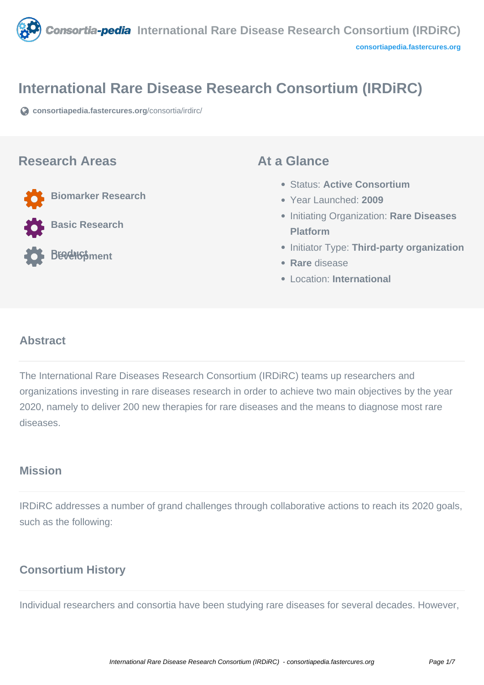

# **International Rare Disease Research Consortium (IRDiRC)**

**[consortiapedia.fastercures.org](https://consortiapedia.fastercures.org/consortia/irdirc/)**[/consortia/irdirc/](https://consortiapedia.fastercures.org/consortia/irdirc/)

#### **Research Areas**

**Biomarker Research**

**Basic Research**

**BE**velopment

#### **At a Glance**

- Status: **Active Consortium**
- Year Launched: **2009**
- Initiating Organization: **Rare Diseases Platform**
- **Initiator Type: Third-party organization**
- **Rare** disease
- Location: **International**

## **Abstract**

The International Rare Diseases Research Consortium (IRDiRC) teams up researchers and organizations investing in rare diseases research in order to achieve two main objectives by the year 2020, namely to deliver 200 new therapies for rare diseases and the means to diagnose most rare diseases.

## **Mission**

IRDiRC addresses a number of grand challenges through collaborative actions to reach its 2020 goals, such as the following:

#### **Consortium History**

Individual researchers and consortia have been studying rare diseases for several decades. However,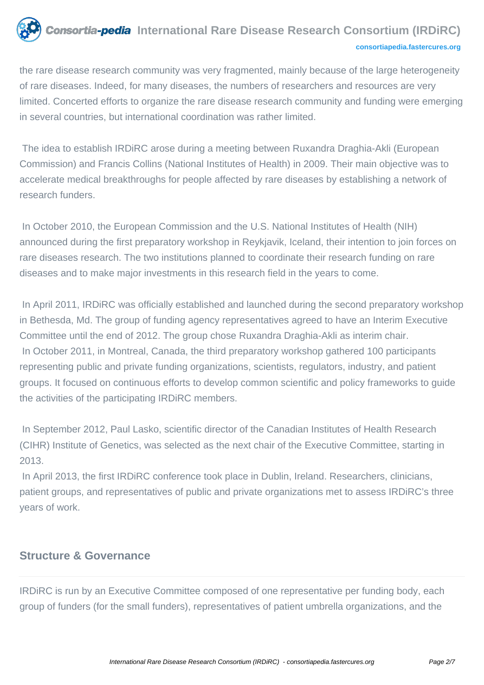# **Consortia-pedia** International Rare Disease Research Consortium (IRDiRC) **[consortiapedia.fastercures.org](http://consortiapedia.fastercures.org/)**

the rare disease research community was very fragmented, mainly because of the large heterogeneity of rare diseases. Indeed, for many diseases, the numbers of researchers and resources are very limited. Concerted efforts to organize the rare disease research community and funding were emerging in several countries, but international coordination was rather limited.

 The idea to establish IRDiRC arose during a meeting between Ruxandra Draghia-Akli (European Commission) and Francis Collins (National Institutes of Health) in 2009. Their main objective was to accelerate medical breakthroughs for people affected by rare diseases by establishing a network of research funders.

In October 2010, the European Commission and the U.S. National Institutes of Health (NIH) announced during the first preparatory workshop in Reykjavik, Iceland, their intention to join forces on rare diseases research. The two institutions planned to coordinate their research funding on rare diseases and to make major investments in this research field in the years to come.

 In April 2011, IRDiRC was officially established and launched during the second preparatory workshop in Bethesda, Md. The group of funding agency representatives agreed to have an Interim Executive Committee until the end of 2012. The group chose Ruxandra Draghia-Akli as interim chair. In October 2011, in Montreal, Canada, the third preparatory workshop gathered 100 participants representing public and private funding organizations, scientists, regulators, industry, and patient groups. It focused on continuous efforts to develop common scientific and policy frameworks to guide the activities of the participating IRDiRC members.

 In September 2012, Paul Lasko, scientific director of the Canadian Institutes of Health Research (CIHR) Institute of Genetics, was selected as the next chair of the Executive Committee, starting in 2013.

 In April 2013, the first IRDiRC conference took place in Dublin, Ireland. Researchers, clinicians, patient groups, and representatives of public and private organizations met to assess IRDiRC's three years of work.

# **Structure & Governance**

IRDiRC is run by an Executive Committee composed of one representative per funding body, each group of funders (for the small funders), representatives of patient umbrella organizations, and the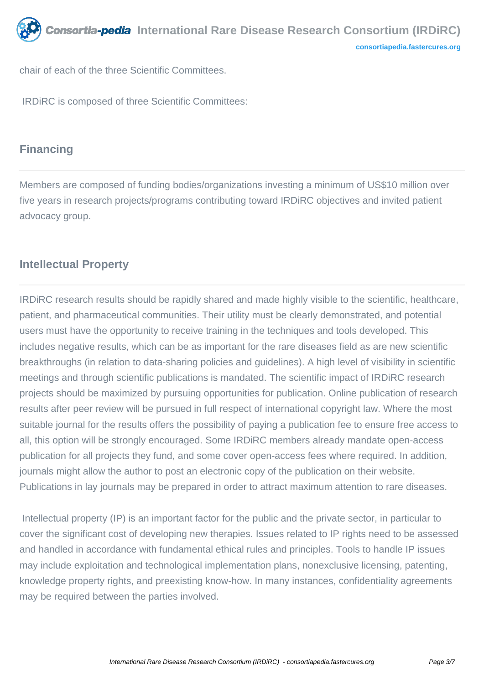chair of each of the three Scientific Committees.

IRDiRC is composed of three Scientific Committees:

# **Financing**

Members are composed of funding bodies/organizations investing a minimum of US\$10 million over five years in research projects/programs contributing toward IRDiRC objectives and invited patient advocacy group.

# **Intellectual Property**

IRDiRC research results should be rapidly shared and made highly visible to the scientific, healthcare, patient, and pharmaceutical communities. Their utility must be clearly demonstrated, and potential users must have the opportunity to receive training in the techniques and tools developed. This includes negative results, which can be as important for the rare diseases field as are new scientific breakthroughs (in relation to data-sharing policies and guidelines). A high level of visibility in scientific meetings and through scientific publications is mandated. The scientific impact of IRDiRC research projects should be maximized by pursuing opportunities for publication. Online publication of research results after peer review will be pursued in full respect of international copyright law. Where the most suitable journal for the results offers the possibility of paying a publication fee to ensure free access to all, this option will be strongly encouraged. Some IRDiRC members already mandate open-access publication for all projects they fund, and some cover open-access fees where required. In addition, journals might allow the author to post an electronic copy of the publication on their website. Publications in lay journals may be prepared in order to attract maximum attention to rare diseases.

 Intellectual property (IP) is an important factor for the public and the private sector, in particular to cover the significant cost of developing new therapies. Issues related to IP rights need to be assessed and handled in accordance with fundamental ethical rules and principles. Tools to handle IP issues may include exploitation and technological implementation plans, nonexclusive licensing, patenting, knowledge property rights, and preexisting know-how. In many instances, confidentiality agreements may be required between the parties involved.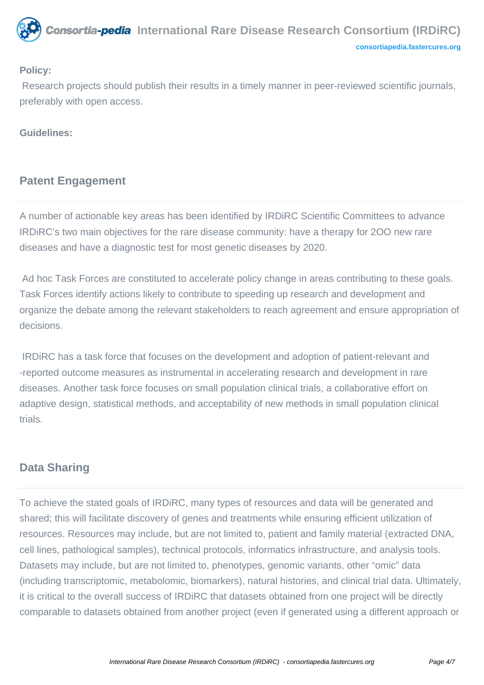

#### **Policy:**

 Research projects should publish their results in a timely manner in peer-reviewed scientific journals, preferably with open access.

#### **Guidelines:**

# **Patent Engagement**

A number of actionable key areas has been identified by IRDiRC Scientific Committees to advance IRDiRC's two main objectives for the rare disease community: have a therapy for 2OO new rare diseases and have a diagnostic test for most genetic diseases by 2020.

 Ad hoc Task Forces are constituted to accelerate policy change in areas contributing to these goals. Task Forces identify actions likely to contribute to speeding up research and development and organize the debate among the relevant stakeholders to reach agreement and ensure appropriation of decisions.

 IRDiRC has a task force that focuses on the development and adoption of patient-relevant and -reported outcome measures as instrumental in accelerating research and development in rare diseases. Another task force focuses on small population clinical trials, a collaborative effort on adaptive design, statistical methods, and acceptability of new methods in small population clinical trials.

## **Data Sharing**

To achieve the stated goals of IRDiRC, many types of resources and data will be generated and shared; this will facilitate discovery of genes and treatments while ensuring efficient utilization of resources. Resources may include, but are not limited to, patient and family material (extracted DNA, cell lines, pathological samples), technical protocols, informatics infrastructure, and analysis tools. Datasets may include, but are not limited to, phenotypes, genomic variants, other "omic" data (including transcriptomic, metabolomic, biomarkers), natural histories, and clinical trial data. Ultimately, it is critical to the overall success of IRDiRC that datasets obtained from one project will be directly comparable to datasets obtained from another project (even if generated using a different approach or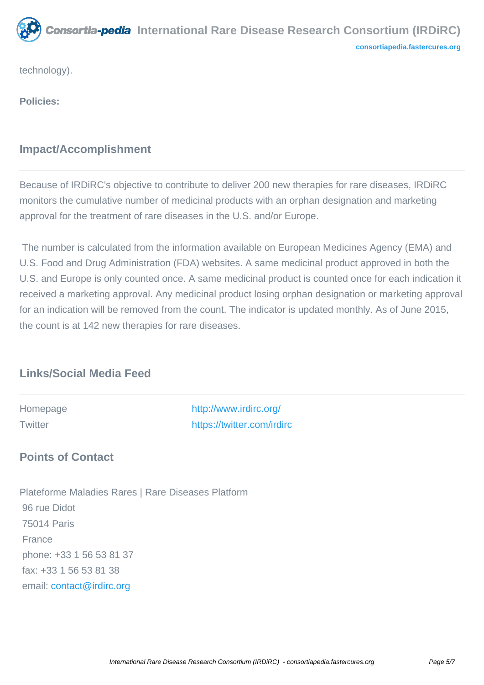

technology).

**Policies:**

# **Impact/Accomplishment**

Because of IRDiRC's objective to contribute to deliver 200 new therapies for rare diseases, IRDiRC monitors the cumulative number of medicinal products with an orphan designation and marketing approval for the treatment of rare diseases in the U.S. and/or Europe.

 The number is calculated from the information available on European Medicines Agency (EMA) and U.S. Food and Drug Administration (FDA) websites. A same medicinal product approved in both the U.S. and Europe is only counted once. A same medicinal product is counted once for each indication it received a marketing approval. Any medicinal product losing orphan designation or marketing approval for an indication will be removed from the count. The indicator is updated monthly. As of June 2015, the count is at 142 new therapies for rare diseases.

# **Links/Social Media Feed**

Homepage <http://www.irdirc.org/> Twitter [https://twitter.com/irdirc](http://www.irdirc.org/)

# **Points of Contact**

Plateforme Maladies Rares | Rare Diseases Platform 96 rue Didot 75014 Paris France phone: +33 1 56 53 81 37 fax: +33 1 56 53 81 38 email: [contact@irdirc.org](mailto:contact@irdirc.org)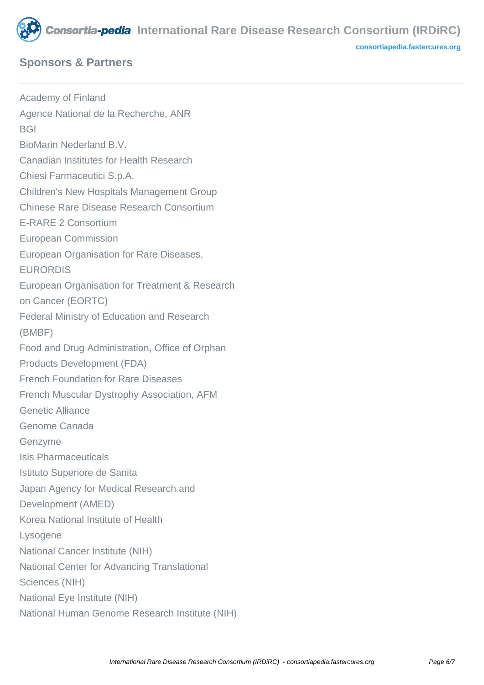

# **Sponsors & Partners**

**[consortiapedia.fastercures.org](http://consortiapedia.fastercures.org/)**

Academy of Finland Agence National de la Recherche, ANR **BGI** BioMarin Nederland B.V. Canadian Institutes for Health Research Chiesi Farmaceutici S.p.A. Children's New Hospitals Management Group Chinese Rare Disease Research Consortium E-RARE 2 Consortium European Commission European Organisation for Rare Diseases, EURORDIS European Organisation for Treatment & Research on Cancer (EORTC) Federal Ministry of Education and Research (BMBF) Food and Drug Administration, Office of Orphan Products Development (FDA) French Foundation for Rare Diseases French Muscular Dystrophy Association, AFM Genetic Alliance Genome Canada Genzyme Isis Pharmaceuticals Istituto Superiore de Sanita Japan Agency for Medical Research and Development (AMED) Korea National Institute of Health Lysogene National Cancer Institute (NIH) National Center for Advancing Translational Sciences (NIH) National Eye Institute (NIH) National Human Genome Research Institute (NIH)